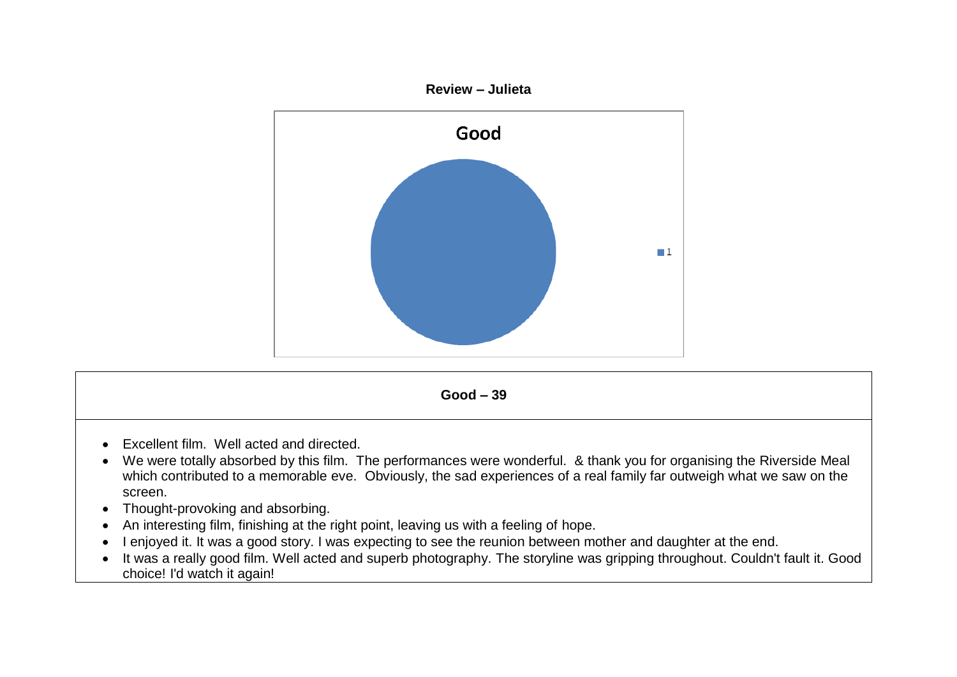



- An interesting film, finishing at the right point, leaving us with a feeling of hope.
- I enjoyed it. It was a good story. I was expecting to see the reunion between mother and daughter at the end.
- It was a really good film. Well acted and superb photography. The storyline was gripping throughout. Couldn't fault it. Good choice! I'd watch it again!